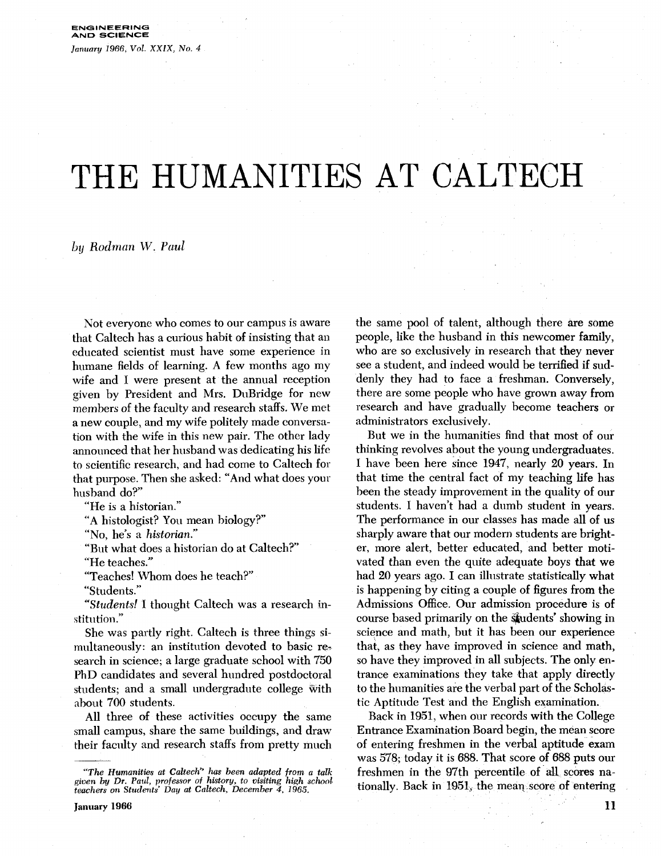# THE HUMANITIES AT CALTECH

by *Rodman* W. *Paul* 

Not everyone who comes to our campus is aware that Caltech has a curious habit of insisting that an educated scientist must have some experience in humane fields of learning. A few months ago my wife and I were present at the annual reception given by President and Mrs. DuBridge for new members of the faculty and research staffs. We met a new couple, and my wife politely made conversation with the wife in this new pair. The other lady announced that her husband was dedicating his life to scientific research, and had come to Caltech for that purpose. Then she asked: "And what does your husband do?"

"He is a historian."

"A histologist? You mean biology?"

"No, he's a historian."

"But what does a historian do at Caltech?"

'He teaches."

"Teaches! Whom does he teach?"

"Students."

"Students! I thought Caltech was a research institution."

She was partly right. Caltech is three things simultaneously: an institution devoted to basic research in science; a large graduate school with 750 PhD candidates and several hundred postdoctoral students; and a small undergradute college with about 700 students.

All three of these activities occupy the same small campus, share the same buildings, and draw their faculty and research staffs from pretty much the same pool of talent, although there are some people, like the husband in this newcomer family, who are so exclusively in research that they never see a student, and indeed would be terrified if suddenly they had to face a freshman. Conversely, there are some people who have grown away from research and have gradually become teachers or administrators exclusively.

But we in the humanities find that most of our thinking revolves about the young undergraduates. I have been here since 1947, nearly 20 years. In that time the central fact of my teaching life has been the steady improvement in the quality of our students. I haven't had a dumb student in years. The performance in our classes has made all of **us**  sharply aware that our modern students are brighter, more alert, better educated, and better motivated than even the quite adequate boys that we had 20 years ago. I can illustrate statistically what is happening by citing a couple of figures from the Admissions Office. Our admission procedure is of course based primarily on the students' showing in science and math, but it has been our experience that, as they have improved in science and math, so have they improved in all subjects. The only entrance examinations they take that apply directly to the humanities are the verbal part of the Scholastic Aptitude Test and the English examination.

Back in 1951, when our records with the College Entrance Examination Board begin, the mean score of entering freshmen in the verbal aptitude exam was 578; today it is 688. That score of 688 puts our freshmen in the 97th percentile of all scores nationally. Back in 1951, the mean score of entering

*<sup>&</sup>quot;The Humanities at Caltech" has been adapted from a talk given by Dr. Paul, professor of history, to visiting high school teachers on Students' Day at Caltech, December 4, 1965.*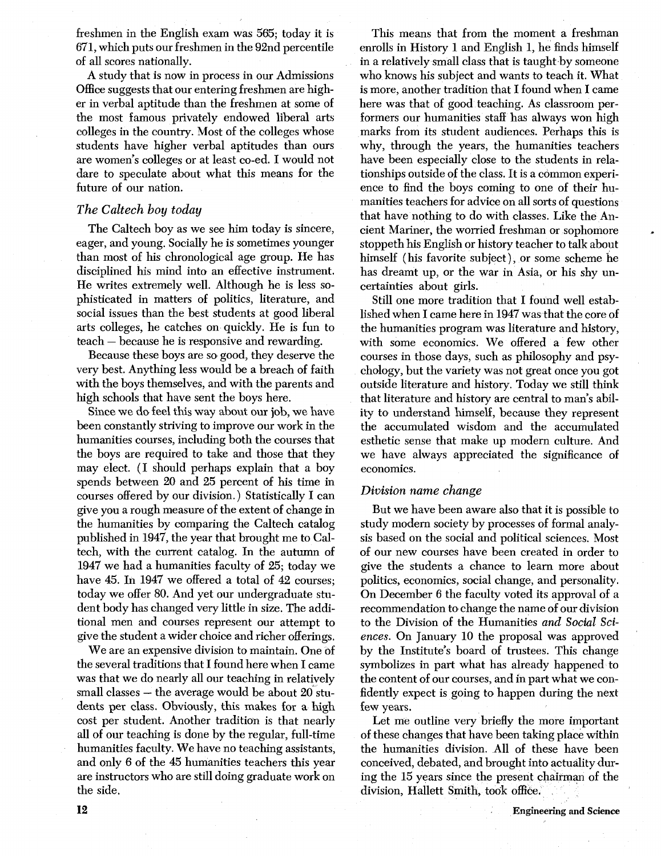freshmen in the English exam was 565; today it is 671, which puts our freshmen in the 92nd percentile of all scores nationally.

**A** study that is now in process in our Admissions Office suggests that our entering freshmen are higher in verbal aptitude than the freshmen at some of the most famous privately endowed liberal arts colleges in the country. Most of the colleges whose students have higher verbal aptitudes than ours are women's colleges or at least co-ed. I would not dare to speculate about what this means for the future of our nation.

### *The Caltech boy today*

The Caltech boy as we see him today is sincere, eager, and young. Socially he is sometimes younger than most of his chronological age group. He has disciplined his mind into an effective instrument. He writes extremely well. Although he is less sophisticated in matters of politics, literature, and social issues than the best students at good liberal arts colleges, he catches on quickly. He is fun to teach - because he is responsive and rewarding.

Because these boys are so good, they deserve the very best. Anything less would be a breach of faith with the boys themselves, and with the parents and high schools that have sent the boys here.

Since we do feel this way about our job, we have been constantly striving to improve our work in the humanities courses, including both the courses that the boys are required to take and those that they may elect. (I should perhaps explain that a boy spends between 20 and 25 percent of his time in courses offered by our division.) Statistically I can give you a rough measure of the extent of change in the humanities by comparing the Caltech catalog published in 1947, the year that brought me to Caltech, with the current catalog. In the autumn of 1947 we had a humanities faculty of 25; today we have 45. In 1947 we offered a total of 42 courses; today we offer 80. And yet our undergraduate student body has changed very little in size. The additional men and courses represent our attempt to give the student a wider choice and richer offerings.

We are an expensive division to maintain. One of the several traditions that I found here when I came was that we do nearly all our teaching in relatively small classes  $-$  the average would be about 20 students per class. Obviously, this makes for a high cost per student. Another tradition is that nearly all of our teaching is done by the regular, full-time humanities faculty. We have no teaching assistants, and only 6 of the 45 humanities teachers this year are instructors who are still doing graduate work on the side.

This means that from the moment a freshman enrolls in History 1 and English 1, he finds himself in a relatively small class that is taught by someone who knows his subject and wants to teach it. What is more, another tradition that I found when I came here was that of good teaching. As classroom performers our humanities staff has always won high marks from its student audiences. Perhaps this is why, through the years, the humanities teachers have been especially close to the students in relationships outside of the class. It is a common experience to find the boys coming to one of their humanities teachers for advice on all sorts of questions that have nothing to do with classes. Like the Ancient Mariner, the worried freshman or sophomore stoppeth his English or history teacher to talk about himself (his favorite subject), or some scheme he has dreamt up, or the war in Asia, or his shy uncertainties about girls.

Still one more tradition that I found well established when I came here in 1947 was that the core of the humanities program was literature and history, with some economics. We offered a few other courses in those days, such as philosophy and psychology, but the variety was not great once you got outside literature and history. Today we still think that literature and history are central to man's ability to understand himself, because they represent the accumulated wisdom and the accumulated esthetic sense that make up modern culture. And we have always appreciated the significance of economics.

#### *Division name change*

But we have been aware also that it is possible to study modern society by processes of formal analysis based on the social and political sciences. Most of our new courses have been created in order to give the students a chance to learn more about politics, economics, social change, and personality. On December 6 the faculty voted its approval of a recommendation to change the name of our division to the Division of the Humanities *and Social Sciences.* On January 10 the proposal was approved by the Institute's board of trustees. This change symbolizes in part what has already happened to the content of our courses, and in part what we confidently expect is going to happen during the next few years.

Let me outline very briefly the more important of these changes that have been taking place within the humanities division. All of these have been conceived, debated, and brought into actuality during the 15 years since the present chairman of the division, Hallett Smith, took office.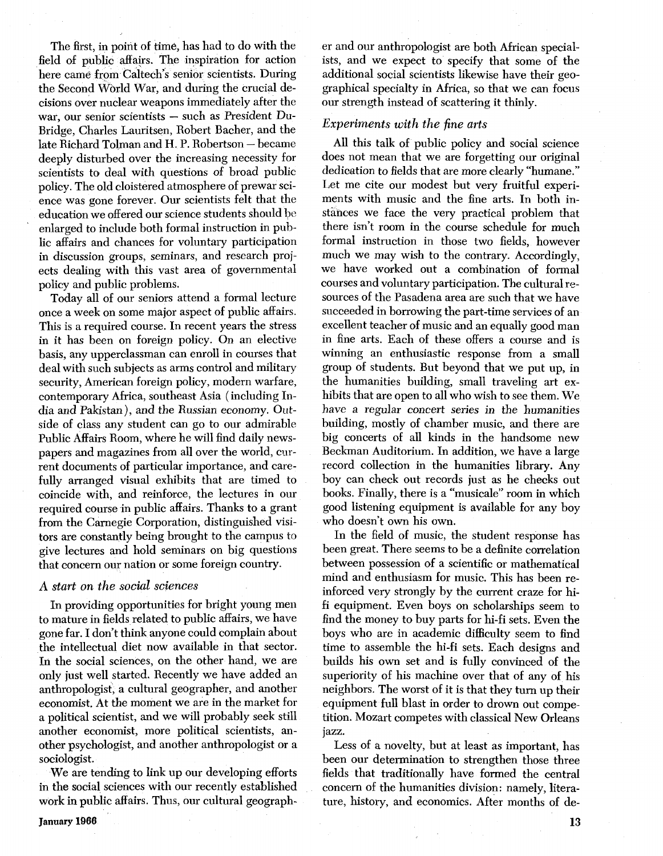The first, in point of time, has had to do with the field of public affairs. The inspiration for action here came from Caltech's senior scientists. During the Second World War, and during the crucial decisions over nuclear weapons immediately after the war, our senior scientists - such as President Du-Bridge, Charles Lauritsen, Robert Bacher, and the late Richard Tolman and H. P. Robertson - became deeply disturbed over the increasing necessity for scientists to deal with questions of broad public policy. The old cloistered atmosphere of prewar science was gone forever. Our scientists felt that the education we offered our science students should be enlarged to include both formal instruction in public affairs and chances for voluntary participation in discussion groups, seminars, and research projects dealing with this vast area of governmental policy and public problems.

Today all of our seniors attend a formal lecture once a week on some major aspect of public affairs. This is a required course. In recent years the stress in it has been on foreign policy. On an elective basis, any upperclassman can enroll in courses that deal with such subjects as arms control and military security, American foreign policy, modern warfare, contemporary Africa, southeast Asia (including India and Pakistan), and the Russian economy. Outside of class any student can go to our admirable Public Affairs Room, where he will find daily newspapers and magazines from all over the world, current documents of particular importance, and carefully arranged visual exhibits that are timed to coincide with, and reinforce, the lectures in our required course in public affairs. Thanks to a grant from the Carnegie Corporation, distinguished visitors are constantly being brought to the campus to give lectures and hold seminars on big questions that concern our nation or some foreign country.

### *A start on the social sciences*

In providing opportunities for bright young men to mature in fields related to public affairs, we have gone far. I don't think anyone could complain about the intellectual diet now available in that sector. In the social sciences, on the other hand, we are only just well started. Recently we have added an anthropologist, a cultural geographer, and another economist. At the moment we are in the market for a political scientist, and we will probably seek still another economist, more political scientists, another psychologist, and another anthropologist or a sociologist.

We are tending to link up our developing efforts in the social sciences with our recently established work in public affairs. Thus, our cultural geographer and our anthropologist are both African specialists, and we expect to specify that some of the additional social scientists likewise have their geographical specialty in Africa, so that we can focus our strength instead of scattering it thinly.

# *Experiments with the fine arts*

All this talk of public policy and social science does not mean that we are forgetting our original dedication to fields that are more clearly "humane." Let me cite our modest but very fruitful experiments with music and the fine arts. In both instances we face the very practical problem that there isn't room in the course schedule for much formal instruction in those two fields, however much we may wish to the contrary. Accordingly, we have worked out a combination of formal courses and voluntary participation. The cultural resources of the Pasadena area are such that we have succeeded in borrowing the part-time services of an excellent teacher of music and an equally good man in fine arts. Each of these offers a course and is winning an enthusiastic response from a small group of students. But beyond that we put up, in the humanities building, small traveling art exhibits that are open to all who wish to see them. We have a regular concert series in the humanities building, mostly of chamber music, and there are big concerts of all kinds in the handsome new Beckman Auditorium. In addition, we have a large record collection in the humanities library. Any boy can check out records just as he checks out books. Finally, there is a "musicale" room in which good listening equipment is available for any boy who doesn't own his own.

In the field of music, the student response has been great. There seems to be a definite correlation between possession of a scientific or mathematical mind and enthusiasm for music. This has been reinforced very strongly by the current craze for hifi equipment. Even boys on scholarships seem to find the money to buy parts for hi-fi sets. Even the boys who are in academic difficulty seem to find time to assemble the hi-fi sets. Each designs and builds his own set and is fully convinced of the superiority of his machine over that of any of his neighbors. The worst of it is that they turn up their equipment full blast in order to drown out competition. Mozart competes with classical New Orleans jazz.

Less of a novelty, but at least as important, has been our determination to strengthen those three fields that traditionally have formed the central concern of the humanities division: namely, literature, history, and economics. After months of de